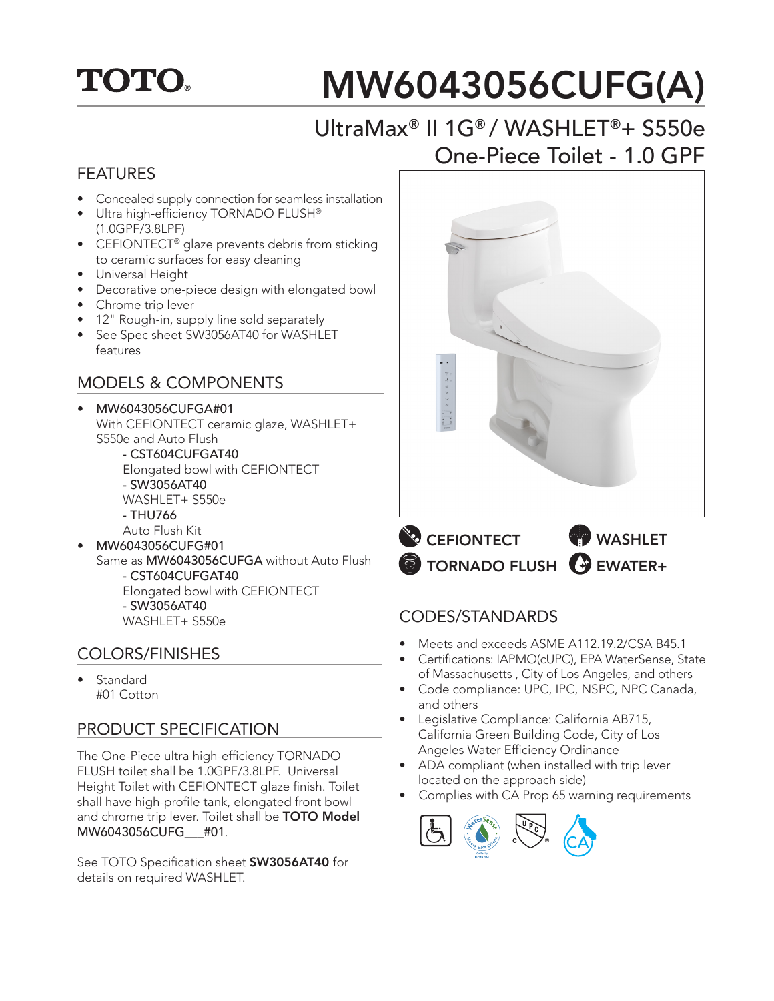# **TOTO.**

# MW6043056CUFG(A)

## UltraMax® II 1G® / WASHLET®+ S550e One-Piece Toilet - 1.0 GPF

#### FEATURES

- Concealed supply connection for seamless installation
- Ultra high-efficiency TORNADO FLUSH® (1.0GPF/3.8LPF)
- CEFIONTECT<sup>®</sup> glaze prevents debris from sticking to ceramic surfaces for easy cleaning
- Universal Height
- Decorative one-piece design with elongated bowl
- Chrome trip lever
- 12" Rough-in, supply line sold separately
- See Spec sheet SW3056AT40 for WASHLET features

#### MODELS & COMPONENTS

#### • MW6043056CUFGA#01 With CEFIONTECT ceramic glaze, WASHLET+ S550e and Auto Flush

 - CST604CUFGAT40 Elongated bowl with CEFIONTECT - SW3056AT40

- WASHLET+ S550e
- THU766
- Auto Flush Kit
- MW6043056CUFG#01 Same as MW6043056CUFGA without Auto Flush - CST604CUFGAT40 Elongated bowl with CEFIONTECT - SW3056AT40 WASHLET+ S550e

#### COLORS/FINISHES

• Standard #01 Cotton

#### PRODUCT SPECIFICATION

The One-Piece ultra high-efficiency TORNADO FLUSH toilet shall be 1.0GPF/3.8LPF. Universal Height Toilet with CEFIONTECT glaze finish. Toilet shall have high-profile tank, elongated front bowl and chrome trip lever. Toilet shall be TOTO Model MW6043056CUFG\_\_\_#01.

See TOTO Specification sheet SW3056AT40 for details on required WASHLET.



TORNADO FLUSH GUEWATER+

#### CODES/STANDARDS

- Meets and exceeds ASME A112.19.2/CSA B45.1
- Certifications: IAPMO(cUPC), EPA WaterSense, State of Massachusetts , City of Los Angeles, and others
- Code compliance: UPC, IPC, NSPC, NPC Canada, and others
- Legislative Compliance: California AB715, California Green Building Code, City of Los Angeles Water Efficiency Ordinance
- ADA compliant (when installed with trip lever located on the approach side)
- Complies with CA Prop 65 warning requirements